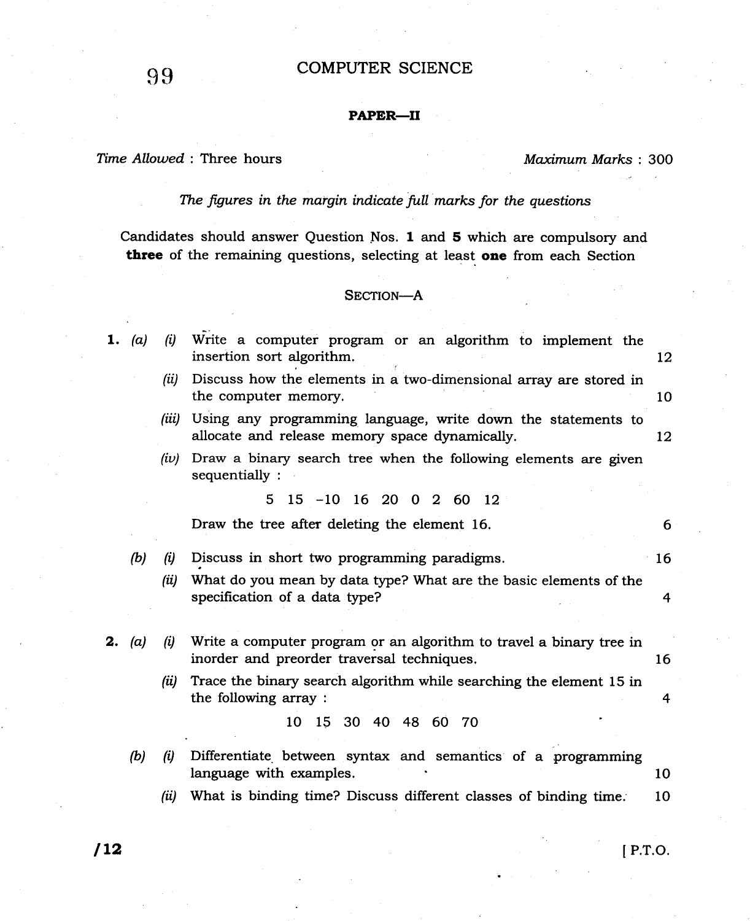# 99 COMPUTER SCIENCE

## PAPER-II

# Time Allowed: Three hours Maximum Marks: 300

6

I6

4

### The figures in the margin indicate full marks for the questions

Candidates should answer Question Nos. 1 and 5 which are compulsory and three of the remaining questions, selecting at least one from each Section

### SECTION-A

|  |  |                           |  |  |  | 1. (a) (i) Write a computer program or an algorithm to implement the |  |
|--|--|---------------------------|--|--|--|----------------------------------------------------------------------|--|
|  |  | insertion sort algorithm. |  |  |  |                                                                      |  |
|  |  |                           |  |  |  |                                                                      |  |

- (ii) Discuss how the elements in a two-dimensional array are stored in the computer memory 10
- (iii) Using any programming language, write down the statements to allocate and release memory space dynamically. 12
- $(iv)$  Draw a binary search tree when the following elements are given sequentially :

515-1016200260t2

Draw the tree after deleting the element 16.

 $(b)$   $(i)$  Discuss in short two programming paradigms.

- (ii) What do you mean by data type? What are the basic elements of the specification of a data type?
- **2.** (a) (i) Write a computer program or an algorithm to travel a binary tree in inorder and preorder traversal techniques. <sup>16</sup>
	- (ii) Trace the binary search algorithm while searching the element  $15$  in the following array : 4

10 15 30 40 48 60 70

- (b)  $(i)$  Differentiate between syntax and semantics of a programming language with examples. The set of the set of the set of the set of the set of the set of the set of the set of the set of the set of the set of the set of the set of the set of the set of the set of the set of the set of
	- $(ii)$  What is binding time? Discuss different classes of binding time.  $10$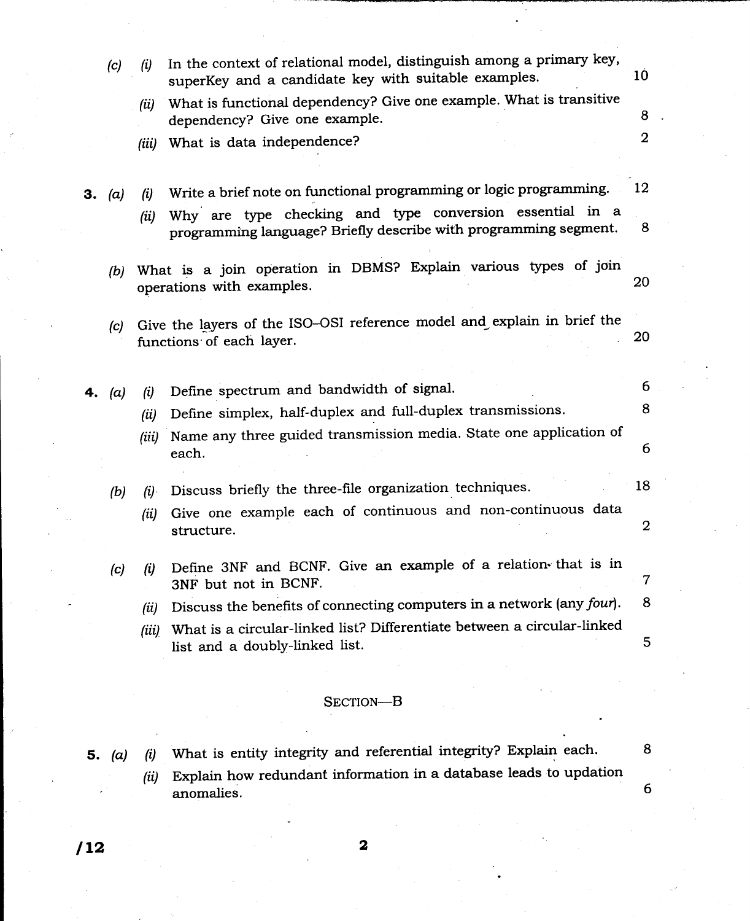| 5. | (a) | $\left( u\right)$                                                                                   | What is entity integrity and referential integrity? Explain each.                                                            | 8               |  |  |
|----|-----|-----------------------------------------------------------------------------------------------------|------------------------------------------------------------------------------------------------------------------------------|-----------------|--|--|
|    |     |                                                                                                     | SECTION-B                                                                                                                    |                 |  |  |
|    |     |                                                                                                     |                                                                                                                              |                 |  |  |
|    |     | (iii)                                                                                               | What is a circular-linked list? Differentiate between a circular-linked<br>list and a doubly-linked list.                    | 5               |  |  |
|    |     | (ii)                                                                                                | Discuss the benefits of connecting computers in a network (any four).                                                        | 8               |  |  |
|    | (c) | (i)                                                                                                 | Define 3NF and BCNF. Give an example of a relation that is in<br>3NF but not in BCNF.                                        | 7               |  |  |
|    |     | (ii)                                                                                                | Give one example each of continuous and non-continuous data<br>structure.                                                    | 2               |  |  |
|    | (b) | (i)                                                                                                 | Discuss briefly the three-file organization techniques.                                                                      | 18              |  |  |
|    |     | (iii)                                                                                               | Name any three guided transmission media. State one application of<br>each.                                                  | 6               |  |  |
|    |     | (ii)                                                                                                | Define simplex, half-duplex and full-duplex transmissions.                                                                   | 8               |  |  |
| 4. | (a) | (i)                                                                                                 | Define spectrum and bandwidth of signal.                                                                                     | 6               |  |  |
|    | (c) | Give the layers of the ISO-OSI reference model and explain in brief the<br>functions of each layer. |                                                                                                                              |                 |  |  |
|    | (b) | What is a join operation in DBMS? Explain various types of join<br>operations with examples.        |                                                                                                                              |                 |  |  |
| З. | (a) | (i)<br>(ii)                                                                                         | Why are type checking and type conversion essential in a<br>programming language? Briefly describe with programming segment. | 8               |  |  |
|    |     |                                                                                                     | Write a brief note on functional programming or logic programming.                                                           | 12              |  |  |
|    |     |                                                                                                     | (iii) What is data independence?                                                                                             | $\overline{2}$  |  |  |
|    |     | (ii)                                                                                                | What is functional dependency? Give one example. What is transitive<br>dependency? Give one example.                         | 8               |  |  |
|    | (c) | (i)                                                                                                 | In the context of relational model, distinguish among a primary key,<br>superKey and a candidate key with suitable examples. | 10 <sup>°</sup> |  |  |
|    |     |                                                                                                     |                                                                                                                              |                 |  |  |

 $(ii)$  Explain how redundant information in a database leads to updation anomalies.

 $\boldsymbol{6}$ 

 $\sqrt{12}$  2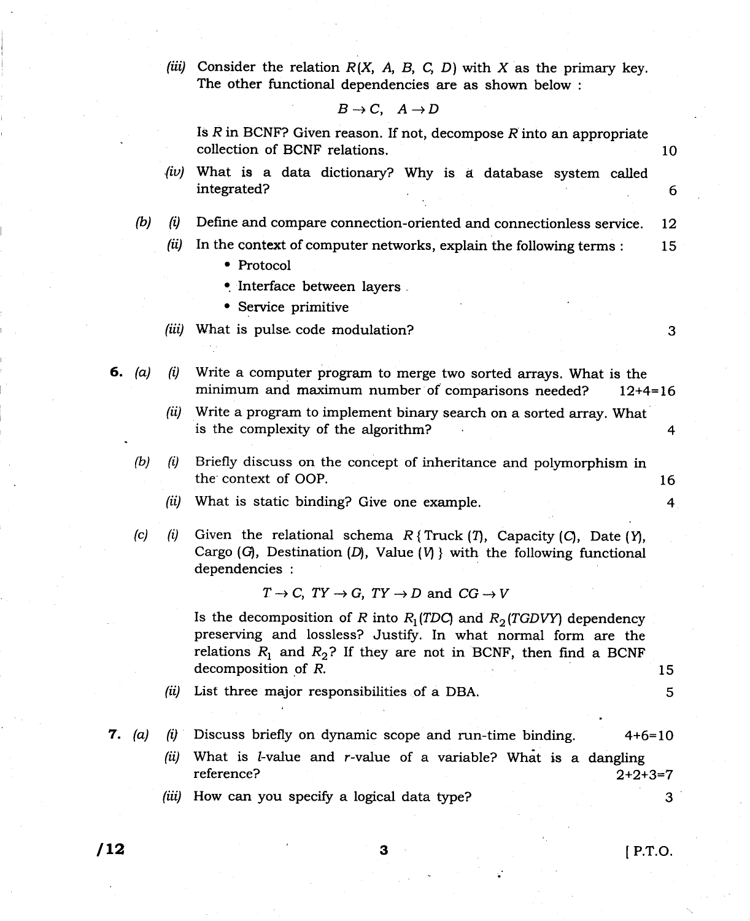(iii) Consider the relation  $R(X, A, B, C, D)$  with X as the primary key. The other functional dependencies are as shown below :

 $B\to C, \quad A\to D$ 

Is  $R$  in BCNF? Given reason. If not, decompose  $R$  into an appropriate collection of BCNF relations. 10  $\langle iv\rangle$  What is a data dictionary? Why is a database system called integrated? 6 Define and compare connection-oriented and connectionless service. <sup>12</sup>  $(b)$ (ii) In the context of computer networks, explain the following terms :  $15$ • Protocol  $\bullet$  Interface between layers . . Service primitive (iii) What is pulse code modulation? 3 6. (a) (i) Write a computer program to merge two sorted arrays. What is the minimum and maximum number of comparisons needed? 12+4=16  $\left( ii\right)$  Write a program to implement binary search on a sorted array. What is the complexity of the algorithm? <sup>4</sup>  $(b)$   $(i)$ Briefly discuss on the concept of inheritance and polymorphism in the context of OOP. 16 (ii) What is static binding? Give one example. 4 Given the relational schema  $R$ {Truck(*T*), Capacity(*C*), Date(Y),  $(c)$   $(i)$ Cargo  $(G)$ , Destination  $(D)$ , Value  $(V)$  with the following functional dependencies :  $T \rightarrow C$ ,  $TY \rightarrow G$ ,  $TY \rightarrow D$  and  $CG \rightarrow V$ Is the decomposition of R into  $R_1(TDC)$  and  $R_2(TGDVY)$  dependency preserving and lossless? Justify. In what normal form are the relations  $R_1$  and  $R_2$ ? If they are not in BCNF, then find a BCNF decomposition of  $R$ . 15 (it) List three major responsibilities of a DBA. 5 **7.** (a) (i) Discuss briefly on dynamic scope and run-time binding.  $4+6=10$ What is  $l$ -value and  $r$ -value of a variable? What is a dangling (it) reference? 2+2+3=7 (iii) How can you specify a logical data type? 3